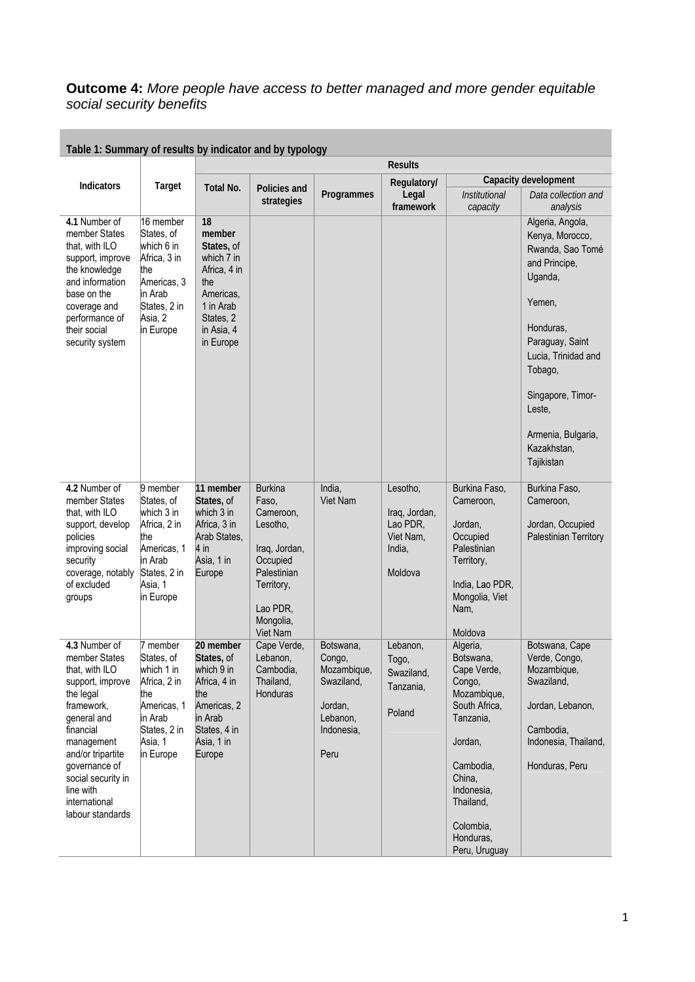## **Outcome 4:** *More people have access to better managed and more gender equitable social security benefits*

| $1$ ably 1. Jahrmany of results by indicator and by typology                                                                                                                                                                                            |                                                                                                                                 |                                                                                                                                   |                                                                                                                                                 |                                                                                               | <b>Results</b>                                                          |                                                                                                                                                                                                     |                                                                                                                                                                                                                                                   |
|---------------------------------------------------------------------------------------------------------------------------------------------------------------------------------------------------------------------------------------------------------|---------------------------------------------------------------------------------------------------------------------------------|-----------------------------------------------------------------------------------------------------------------------------------|-------------------------------------------------------------------------------------------------------------------------------------------------|-----------------------------------------------------------------------------------------------|-------------------------------------------------------------------------|-----------------------------------------------------------------------------------------------------------------------------------------------------------------------------------------------------|---------------------------------------------------------------------------------------------------------------------------------------------------------------------------------------------------------------------------------------------------|
| <b>Indicators</b>                                                                                                                                                                                                                                       |                                                                                                                                 |                                                                                                                                   |                                                                                                                                                 |                                                                                               | Regulatory/                                                             |                                                                                                                                                                                                     | Capacity development                                                                                                                                                                                                                              |
|                                                                                                                                                                                                                                                         | Target                                                                                                                          | Total No.                                                                                                                         | Policies and<br>strategies                                                                                                                      | Programmes                                                                                    | Legal<br>framework                                                      | <b>Institutional</b><br>capacity                                                                                                                                                                    | Data collection and<br>analysis                                                                                                                                                                                                                   |
| 4.1 Number of<br>member States<br>that, with ILO<br>support, improve<br>the knowledge<br>and information<br>base on the<br>coverage and<br>performance of<br>their social<br>security system                                                            | 16 member<br>States, of<br>which 6 in<br>Africa, 3 in<br>the<br>Americas, 3<br>lin Arab<br>States, 2 in<br>Asia, 2<br>in Europe | 18<br>member<br>States, of<br>which 7 in<br>Africa, 4 in<br>the<br>Americas,<br>1 in Arab<br>States, 2<br>in Asia, 4<br>in Europe |                                                                                                                                                 |                                                                                               |                                                                         |                                                                                                                                                                                                     | Algeria, Angola,<br>Kenya, Morocco,<br>Rwanda, Sao Tomé<br>and Principe,<br>Uganda,<br>Yemen,<br>Honduras,<br>Paraguay, Saint<br>Lucia, Trinidad and<br>Tobago,<br>Singapore, Timor-<br>Leste.<br>Armenia, Bulgaria,<br>Kazakhstan,<br>Tajikistan |
| 4.2 Number of<br>member States<br>that, with ILO<br>support, develop<br>policies<br>improving social<br>security<br>coverage, notably<br>of excluded<br>groups                                                                                          | 9 member<br>States, of<br>which 3 in<br>Africa, 2 in<br>the<br>Americas, 1<br>lin Arab<br>States, 2 in<br>Asia, 1<br>in Europe  | 11 member<br>States, of<br>which 3 in<br>Africa, 3 in<br>Arab States,<br>4 in<br>Asia, 1 in<br>Europe                             | <b>Burkina</b><br>Faso,<br>Cameroon,<br>Lesotho,<br>Iraq, Jordan,<br>Occupied<br>Palestinian<br>Territory,<br>Lao PDR.<br>Mongolia,<br>Viet Nam | India,<br>Viet Nam                                                                            | Lesotho,<br>Iraq, Jordan,<br>Lao PDR,<br>Viet Nam,<br>India,<br>Moldova | Burkina Faso,<br>Cameroon,<br>Jordan,<br>Occupied<br>Palestinian<br>Territory,<br>India, Lao PDR,<br>Mongolia, Viet<br>Nam,<br>Moldova                                                              | Burkina Faso,<br>Cameroon,<br>Jordan, Occupied<br>Palestinian Territory                                                                                                                                                                           |
| 4.3 Number of<br>member States<br>that. with ILO<br>support, improve<br>the legal<br>framework,<br>general and<br>financial<br>management<br>and/or tripartite<br>governance of<br>social security in<br>line with<br>international<br>labour standards | 7 member<br>States, of<br>which 1 in<br>Africa, 2 in<br>lthe<br>Americas, 1<br>in Arab<br>States, 2 in<br>Asia, 1<br>in Europe  | 20 member<br>States, of<br>which 9 in<br>Africa, 4 in<br>the<br>Americas, 2<br>in Arab<br>States, 4 in<br>Asia, 1 in<br>Europe    | Cape Verde,<br>Lebanon,<br>Cambodia,<br>Thailand,<br>Honduras                                                                                   | Botswana,<br>Congo,<br>Mozambique,<br>Swaziland,<br>Jordan,<br>Lebanon,<br>Indonesia,<br>Peru | Lebanon,<br>Togo,<br>Swaziland,<br>Tanzania,<br>Poland                  | Algeria,<br>Botswana.<br>Cape Verde,<br>Congo,<br>Mozambique,<br>South Africa,<br>Tanzania,<br>Jordan,<br>Cambodia,<br>China,<br>Indonesia,<br>Thailand,<br>Colombia,<br>Honduras,<br>Peru, Uruguay | Botswana, Cape<br>Verde, Congo,<br>Mozambique.<br>Swaziland,<br>Jordan, Lebanon,<br>Cambodia,<br>Indonesia, Thailand,<br>Honduras, Peru                                                                                                           |

## **Table 1: Summary of results by indicator and by typology**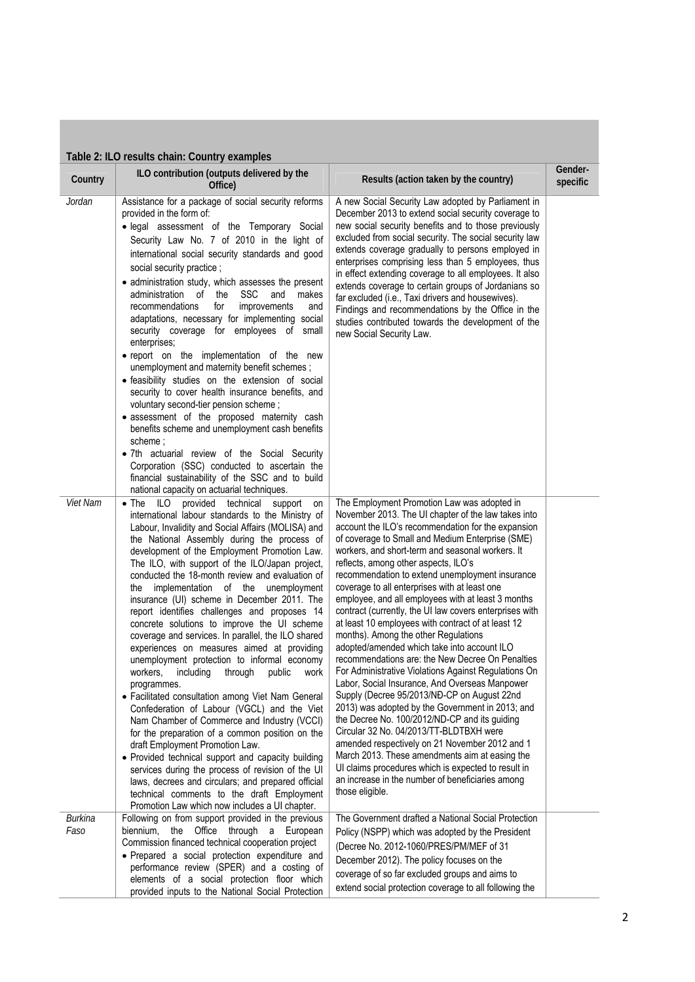| Country                       | ILO contribution (outputs delivered by the<br>Office)                                                                                                                                                                                                                                                                                                                                                                                                                                                                                                                                                                                                                                                                                                                                                                                                                                                                                                                                                                                                                                                                                                                                                                                                                                                        | Results (action taken by the country)                                                                                                                                                                                                                                                                                                                                                                                                                                                                                                                                                                                                                                                                                                                                                                                                                                                                                                                                                                                                                                                                                                                                                                                                                                     | Gender-<br>specific |
|-------------------------------|--------------------------------------------------------------------------------------------------------------------------------------------------------------------------------------------------------------------------------------------------------------------------------------------------------------------------------------------------------------------------------------------------------------------------------------------------------------------------------------------------------------------------------------------------------------------------------------------------------------------------------------------------------------------------------------------------------------------------------------------------------------------------------------------------------------------------------------------------------------------------------------------------------------------------------------------------------------------------------------------------------------------------------------------------------------------------------------------------------------------------------------------------------------------------------------------------------------------------------------------------------------------------------------------------------------|---------------------------------------------------------------------------------------------------------------------------------------------------------------------------------------------------------------------------------------------------------------------------------------------------------------------------------------------------------------------------------------------------------------------------------------------------------------------------------------------------------------------------------------------------------------------------------------------------------------------------------------------------------------------------------------------------------------------------------------------------------------------------------------------------------------------------------------------------------------------------------------------------------------------------------------------------------------------------------------------------------------------------------------------------------------------------------------------------------------------------------------------------------------------------------------------------------------------------------------------------------------------------|---------------------|
| Jordan                        | Assistance for a package of social security reforms<br>provided in the form of:<br>· legal assessment of the Temporary Social<br>Security Law No. 7 of 2010 in the light of<br>international social security standards and good<br>social security practice;<br>• administration study, which assesses the present<br>administration of the<br>SSC<br>and<br>makes<br>recommendations<br>for<br>improvements<br>and<br>adaptations, necessary for implementing social<br>security coverage for employees of small<br>enterprises;<br>· report on the implementation of the new<br>unemployment and maternity benefit schemes;<br>· feasibility studies on the extension of social<br>security to cover health insurance benefits, and<br>voluntary second-tier pension scheme;<br>• assessment of the proposed maternity cash<br>benefits scheme and unemployment cash benefits<br>scheme :<br>• 7th actuarial review of the Social Security<br>Corporation (SSC) conducted to ascertain the<br>financial sustainability of the SSC and to build<br>national capacity on actuarial techniques.                                                                                                                                                                                                               | A new Social Security Law adopted by Parliament in<br>December 2013 to extend social security coverage to<br>new social security benefits and to those previously<br>excluded from social security. The social security law<br>extends coverage gradually to persons employed in<br>enterprises comprising less than 5 employees, thus<br>in effect extending coverage to all employees. It also<br>extends coverage to certain groups of Jordanians so<br>far excluded (i.e., Taxi drivers and housewives).<br>Findings and recommendations by the Office in the<br>studies contributed towards the development of the<br>new Social Security Law.                                                                                                                                                                                                                                                                                                                                                                                                                                                                                                                                                                                                                       |                     |
| Viet Nam                      | $\bullet$ The<br>ILO.<br>provided<br>technical<br>support<br>on<br>international labour standards to the Ministry of<br>Labour, Invalidity and Social Affairs (MOLISA) and<br>the National Assembly during the process of<br>development of the Employment Promotion Law.<br>The ILO, with support of the ILO/Japan project,<br>conducted the 18-month review and evaluation of<br>implementation of the unemployment<br>the<br>insurance (UI) scheme in December 2011. The<br>report identifies challenges and proposes 14<br>concrete solutions to improve the UI scheme<br>coverage and services. In parallel, the ILO shared<br>experiences on measures aimed at providing<br>unemployment protection to informal economy<br>including<br>through<br>public<br>workers,<br>work<br>programmes.<br>• Facilitated consultation among Viet Nam General<br>Confederation of Labour (VGCL) and the Viet<br>Nam Chamber of Commerce and Industry (VCCI)<br>for the preparation of a common position on the<br>draft Employment Promotion Law.<br>• Provided technical support and capacity building<br>services during the process of revision of the UI<br>laws, decrees and circulars; and prepared official<br>technical comments to the draft Employment<br>Promotion Law which now includes a UI chapter. | The Employment Promotion Law was adopted in<br>November 2013. The UI chapter of the law takes into<br>account the ILO's recommendation for the expansion<br>of coverage to Small and Medium Enterprise (SME)<br>workers, and short-term and seasonal workers. It<br>reflects, among other aspects, ILO's<br>recommendation to extend unemployment insurance<br>coverage to all enterprises with at least one<br>employee, and all employees with at least 3 months<br>contract (currently, the UI law covers enterprises with<br>at least 10 employees with contract of at least 12<br>months). Among the other Regulations<br>adopted/amended which take into account ILO<br>recommendations are: the New Decree On Penalties<br>For Administrative Violations Against Regulations On<br>Labor, Social Insurance, And Overseas Manpower<br>Supply (Decree 95/2013/NĐ-CP on August 22nd<br>2013) was adopted by the Government in 2013; and<br>the Decree No. 100/2012/ND-CP and its guiding<br>Circular 32 No. 04/2013/TT-BLDTBXH were<br>amended respectively on 21 November 2012 and 1<br>March 2013. These amendments aim at easing the<br>UI claims procedures which is expected to result in<br>an increase in the number of beneficiaries among<br>those eligible. |                     |
| <b>Burkina</b><br><i>Faso</i> | Following on from support provided in the previous<br>the Office through a European<br>biennium,<br>Commission financed technical cooperation project<br>· Prepared a social protection expenditure and<br>performance review (SPER) and a costing of<br>elements of a social protection floor which<br>provided inputs to the National Social Protection                                                                                                                                                                                                                                                                                                                                                                                                                                                                                                                                                                                                                                                                                                                                                                                                                                                                                                                                                    | The Government drafted a National Social Protection<br>Policy (NSPP) which was adopted by the President<br>(Decree No. 2012-1060/PRES/PM/MEF of 31<br>December 2012). The policy focuses on the<br>coverage of so far excluded groups and aims to<br>extend social protection coverage to all following the                                                                                                                                                                                                                                                                                                                                                                                                                                                                                                                                                                                                                                                                                                                                                                                                                                                                                                                                                               |                     |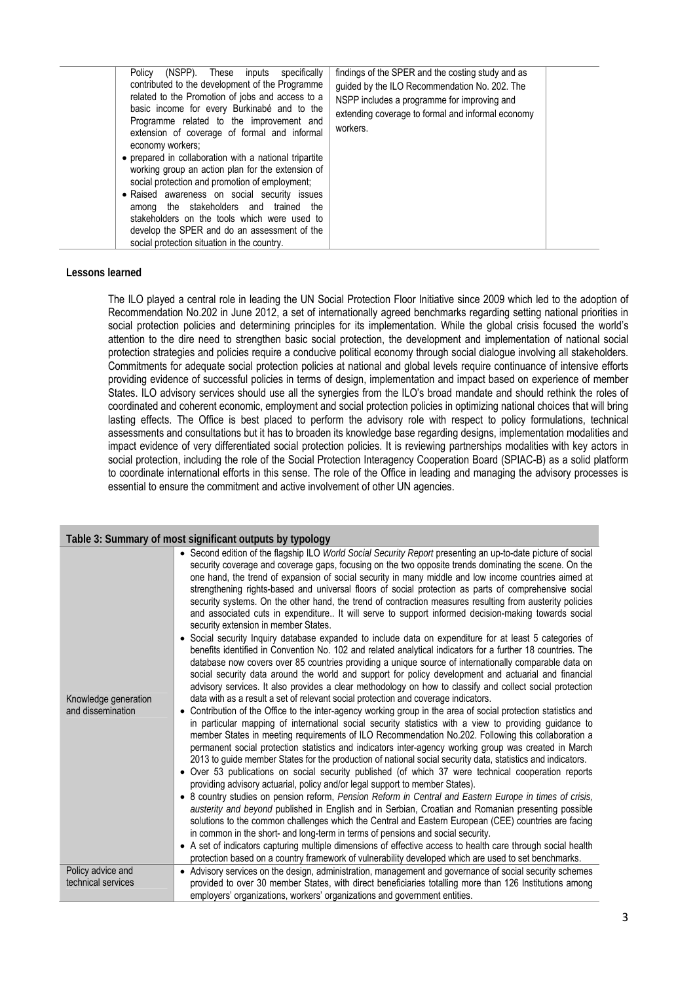| (NSPP). These inputs specifically<br>Policy<br>contributed to the development of the Programme<br>related to the Promotion of jobs and access to a<br>basic income for every Burkinabé and to the<br>Programme related to the improvement and<br>extension of coverage of formal and informal<br>economy workers;<br>• prepared in collaboration with a national tripartite<br>working group an action plan for the extension of<br>social protection and promotion of employment;<br>• Raised awareness on social security issues<br>among the stakeholders and trained the<br>stakeholders on the tools which were used to<br>develop the SPER and do an assessment of the<br>social protection situation in the country. | findings of the SPER and the costing study and as<br>quided by the ILO Recommendation No. 202. The<br>NSPP includes a programme for improving and<br>extending coverage to formal and informal economy<br>workers. |  |
|-----------------------------------------------------------------------------------------------------------------------------------------------------------------------------------------------------------------------------------------------------------------------------------------------------------------------------------------------------------------------------------------------------------------------------------------------------------------------------------------------------------------------------------------------------------------------------------------------------------------------------------------------------------------------------------------------------------------------------|--------------------------------------------------------------------------------------------------------------------------------------------------------------------------------------------------------------------|--|
|-----------------------------------------------------------------------------------------------------------------------------------------------------------------------------------------------------------------------------------------------------------------------------------------------------------------------------------------------------------------------------------------------------------------------------------------------------------------------------------------------------------------------------------------------------------------------------------------------------------------------------------------------------------------------------------------------------------------------------|--------------------------------------------------------------------------------------------------------------------------------------------------------------------------------------------------------------------|--|

## **Lessons learned**

The ILO played a central role in leading the UN Social Protection Floor Initiative since 2009 which led to the adoption of Recommendation No.202 in June 2012, a set of internationally agreed benchmarks regarding setting national priorities in social protection policies and determining principles for its implementation. While the global crisis focused the world's attention to the dire need to strengthen basic social protection, the development and implementation of national social protection strategies and policies require a conducive political economy through social dialogue involving all stakeholders. Commitments for adequate social protection policies at national and global levels require continuance of intensive efforts providing evidence of successful policies in terms of design, implementation and impact based on experience of member States. ILO advisory services should use all the synergies from the ILO's broad mandate and should rethink the roles of coordinated and coherent economic, employment and social protection policies in optimizing national choices that will bring lasting effects. The Office is best placed to perform the advisory role with respect to policy formulations, technical assessments and consultations but it has to broaden its knowledge base regarding designs, implementation modalities and impact evidence of very differentiated social protection policies. It is reviewing partnerships modalities with key actors in social protection, including the role of the Social Protection Interagency Cooperation Board (SPIAC-B) as a solid platform to coordinate international efforts in this sense. The role of the Office in leading and managing the advisory processes is essential to ensure the commitment and active involvement of other UN agencies.

| Table 3: Summary of most significant outputs by typology       |                                                                                                                                                                                                                                                                                                                                                                                                                                                                                                                                                                                                                                                                                                                                                                                                                                                                                                                                                                                                                                                                                                                                                                                                                                                                                                                                                                                                                                                                                                                                                                                                                                                                                                                                                                                                                                                                                                                                                                                                                                                                                                                                                                                                                                                                                                                                                                                                                                                                                                                                                                                                                                                                                                                                      |  |
|----------------------------------------------------------------|--------------------------------------------------------------------------------------------------------------------------------------------------------------------------------------------------------------------------------------------------------------------------------------------------------------------------------------------------------------------------------------------------------------------------------------------------------------------------------------------------------------------------------------------------------------------------------------------------------------------------------------------------------------------------------------------------------------------------------------------------------------------------------------------------------------------------------------------------------------------------------------------------------------------------------------------------------------------------------------------------------------------------------------------------------------------------------------------------------------------------------------------------------------------------------------------------------------------------------------------------------------------------------------------------------------------------------------------------------------------------------------------------------------------------------------------------------------------------------------------------------------------------------------------------------------------------------------------------------------------------------------------------------------------------------------------------------------------------------------------------------------------------------------------------------------------------------------------------------------------------------------------------------------------------------------------------------------------------------------------------------------------------------------------------------------------------------------------------------------------------------------------------------------------------------------------------------------------------------------------------------------------------------------------------------------------------------------------------------------------------------------------------------------------------------------------------------------------------------------------------------------------------------------------------------------------------------------------------------------------------------------------------------------------------------------------------------------------------------------|--|
| Knowledge generation<br>and dissemination<br>Policy advice and | • Second edition of the flagship ILO World Social Security Report presenting an up-to-date picture of social<br>security coverage and coverage gaps, focusing on the two opposite trends dominating the scene. On the<br>one hand, the trend of expansion of social security in many middle and low income countries aimed at<br>strengthening rights-based and universal floors of social protection as parts of comprehensive social<br>security systems. On the other hand, the trend of contraction measures resulting from austerity policies<br>and associated cuts in expenditure It will serve to support informed decision-making towards social<br>security extension in member States.<br>• Social security Inquiry database expanded to include data on expenditure for at least 5 categories of<br>benefits identified in Convention No. 102 and related analytical indicators for a further 18 countries. The<br>database now covers over 85 countries providing a unique source of internationally comparable data on<br>social security data around the world and support for policy development and actuarial and financial<br>advisory services. It also provides a clear methodology on how to classify and collect social protection<br>data with as a result a set of relevant social protection and coverage indicators.<br>• Contribution of the Office to the inter-agency working group in the area of social protection statistics and<br>in particular mapping of international social security statistics with a view to providing guidance to<br>member States in meeting requirements of ILO Recommendation No.202. Following this collaboration a<br>permanent social protection statistics and indicators inter-agency working group was created in March<br>2013 to guide member States for the production of national social security data, statistics and indicators.<br>• Over 53 publications on social security published (of which 37 were technical cooperation reports<br>providing advisory actuarial, policy and/or legal support to member States).<br>• 8 country studies on pension reform, Pension Reform in Central and Eastern Europe in times of crisis,<br>austerity and beyond published in English and in Serbian, Croatian and Romanian presenting possible<br>solutions to the common challenges which the Central and Eastern European (CEE) countries are facing<br>in common in the short- and long-term in terms of pensions and social security.<br>• A set of indicators capturing multiple dimensions of effective access to health care through social health<br>protection based on a country framework of vulnerability developed which are used to set benchmarks. |  |
| technical services                                             | • Advisory services on the design, administration, management and governance of social security schemes<br>provided to over 30 member States, with direct beneficiaries totalling more than 126 Institutions among<br>employers' organizations, workers' organizations and government entities.                                                                                                                                                                                                                                                                                                                                                                                                                                                                                                                                                                                                                                                                                                                                                                                                                                                                                                                                                                                                                                                                                                                                                                                                                                                                                                                                                                                                                                                                                                                                                                                                                                                                                                                                                                                                                                                                                                                                                                                                                                                                                                                                                                                                                                                                                                                                                                                                                                      |  |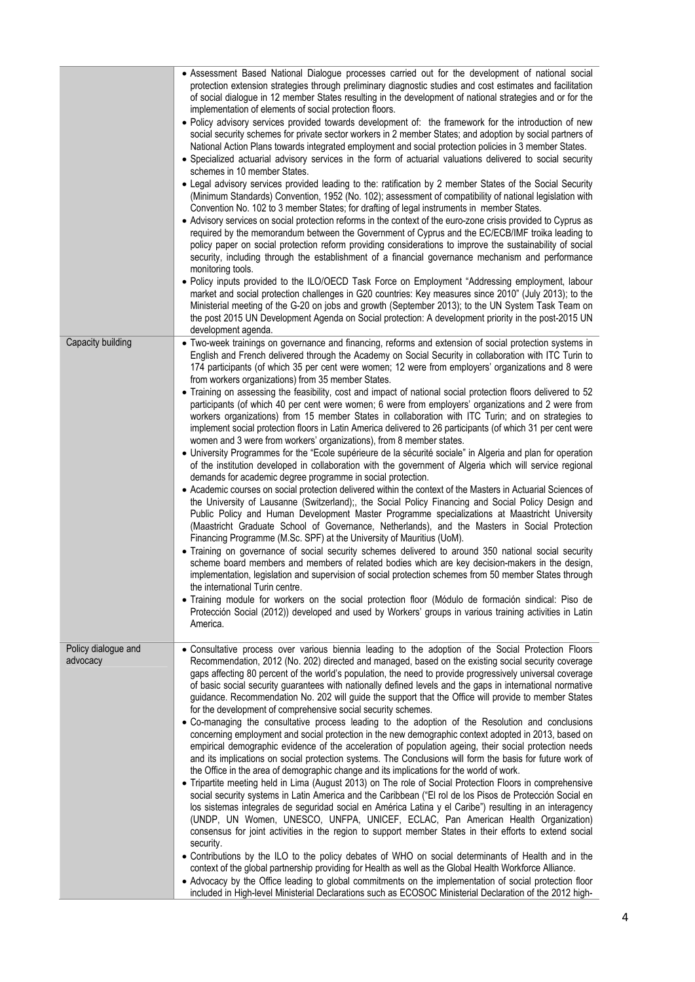|                                 | • Assessment Based National Dialogue processes carried out for the development of national social<br>protection extension strategies through preliminary diagnostic studies and cost estimates and facilitation<br>of social dialogue in 12 member States resulting in the development of national strategies and or for the<br>implementation of elements of social protection floors.                                                                                                                                                                                                                         |
|---------------------------------|-----------------------------------------------------------------------------------------------------------------------------------------------------------------------------------------------------------------------------------------------------------------------------------------------------------------------------------------------------------------------------------------------------------------------------------------------------------------------------------------------------------------------------------------------------------------------------------------------------------------|
|                                 | . Policy advisory services provided towards development of: the framework for the introduction of new<br>social security schemes for private sector workers in 2 member States; and adoption by social partners of<br>National Action Plans towards integrated employment and social protection policies in 3 member States.<br>• Specialized actuarial advisory services in the form of actuarial valuations delivered to social security                                                                                                                                                                      |
|                                 | schemes in 10 member States.<br>• Legal advisory services provided leading to the: ratification by 2 member States of the Social Security<br>(Minimum Standards) Convention, 1952 (No. 102); assessment of compatibility of national legislation with                                                                                                                                                                                                                                                                                                                                                           |
|                                 | Convention No. 102 to 3 member States; for drafting of legal instruments in member States.<br>• Advisory services on social protection reforms in the context of the euro-zone crisis provided to Cyprus as<br>required by the memorandum between the Government of Cyprus and the EC/ECB/IMF troika leading to<br>policy paper on social protection reform providing considerations to improve the sustainability of social<br>security, including through the establishment of a financial governance mechanism and performance<br>monitoring tools.                                                          |
|                                 | . Policy inputs provided to the ILO/OECD Task Force on Employment "Addressing employment, labour<br>market and social protection challenges in G20 countries: Key measures since 2010" (July 2013); to the<br>Ministerial meeting of the G-20 on jobs and growth (September 2013); to the UN System Task Team on<br>the post 2015 UN Development Agenda on Social protection: A development priority in the post-2015 UN<br>development agenda.                                                                                                                                                                 |
| Capacity building               | • Two-week trainings on governance and financing, reforms and extension of social protection systems in<br>English and French delivered through the Academy on Social Security in collaboration with ITC Turin to<br>174 participants (of which 35 per cent were women; 12 were from employers' organizations and 8 were<br>from workers organizations) from 35 member States.                                                                                                                                                                                                                                  |
|                                 | • Training on assessing the feasibility, cost and impact of national social protection floors delivered to 52<br>participants (of which 40 per cent were women; 6 were from employers' organizations and 2 were from<br>workers organizations) from 15 member States in collaboration with ITC Turin; and on strategies to<br>implement social protection floors in Latin America delivered to 26 participants (of which 31 per cent were<br>women and 3 were from workers' organizations), from 8 member states.                                                                                               |
|                                 | • University Programmes for the "Ecole supérieure de la sécurité sociale" in Algeria and plan for operation<br>of the institution developed in collaboration with the government of Algeria which will service regional<br>demands for academic degree programme in social protection.                                                                                                                                                                                                                                                                                                                          |
|                                 | • Academic courses on social protection delivered within the context of the Masters in Actuarial Sciences of<br>the University of Lausanne (Switzerland);, the Social Policy Financing and Social Policy Design and<br>Public Policy and Human Development Master Programme specializations at Maastricht University<br>(Maastricht Graduate School of Governance, Netherlands), and the Masters in Social Protection<br>Financing Programme (M.Sc. SPF) at the University of Mauritius (UoM).                                                                                                                  |
|                                 | • Training on governance of social security schemes delivered to around 350 national social security<br>scheme board members and members of related bodies which are key decision-makers in the design,<br>implementation, legislation and supervision of social protection schemes from 50 member States through<br>the international Turin centre.                                                                                                                                                                                                                                                            |
|                                 | · Training module for workers on the social protection floor (Módulo de formación sindical: Piso de<br>Protección Social (2012)) developed and used by Workers' groups in various training activities in Latin<br>America.                                                                                                                                                                                                                                                                                                                                                                                      |
| Policy dialogue and<br>advocacy | . Consultative process over various biennia leading to the adoption of the Social Protection Floors<br>Recommendation, 2012 (No. 202) directed and managed, based on the existing social security coverage<br>gaps affecting 80 percent of the world's population, the need to provide progressively universal coverage<br>of basic social security guarantees with nationally defined levels and the gaps in international normative<br>guidance. Recommendation No. 202 will guide the support that the Office will provide to member States<br>for the development of comprehensive social security schemes. |
|                                 | . Co-managing the consultative process leading to the adoption of the Resolution and conclusions<br>concerning employment and social protection in the new demographic context adopted in 2013, based on<br>empirical demographic evidence of the acceleration of population ageing, their social protection needs<br>and its implications on social protection systems. The Conclusions will form the basis for future work of<br>the Office in the area of demographic change and its implications for the world of work.                                                                                     |
|                                 | • Tripartite meeting held in Lima (August 2013) on The role of Social Protection Floors in comprehensive<br>social security systems in Latin America and the Caribbean ("El rol de los Pisos de Protección Social en<br>los sistemas integrales de seguridad social en América Latina y el Caribe") resulting in an interagency<br>(UNDP, UN Women, UNESCO, UNFPA, UNICEF, ECLAC, Pan American Health Organization)<br>consensus for joint activities in the region to support member States in their efforts to extend social<br>security.                                                                     |
|                                 | • Contributions by the ILO to the policy debates of WHO on social determinants of Health and in the<br>context of the global partnership providing for Health as well as the Global Health Workforce Alliance.<br>• Advocacy by the Office leading to global commitments on the implementation of social protection floor<br>included in High-level Ministerial Declarations such as ECOSOC Ministerial Declaration of the 2012 high-                                                                                                                                                                           |